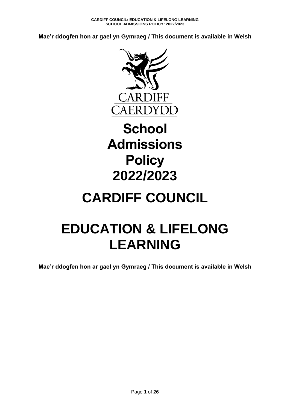**Mae'r ddogfen hon ar gael yn Gymraeg / This document is available in Welsh**



# **School Admissions Policy 2022/2023**

# **CARDIFF COUNCIL**

# **EDUCATION & LIFELONG LEARNING**

**Mae'r ddogfen hon ar gael yn Gymraeg / This document is available in Welsh**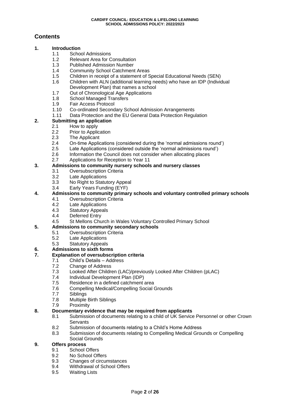# **Contents**

#### **1. Introduction**

- 1.1 School Admissions
- 1.2 Relevant Area for Consultation
- 1.3 Published Admission Number
- 1.4 Community School Catchment Areas
- 1.5 Children in receipt of a statement of Special Educational Needs (SEN)
- 1.6 Children with ALN (additional learning needs) who have an IDP (Individual Development Plan) that names a school
- 1.7 Out of Chronological Age Applications
- 1.8 School Managed Transfers
- 1.9 Fair Access Protocol<br>1.10 Co-ordinated Second
- 1.10 Co-ordinated Secondary School Admission Arrangements
- 1.11 Data Protection and the EU General Data Protection Regulation

#### **2. Submitting an application**

- 2.1 How to apply
- 2.2 Prior to Application
- 2.3 The Applicant
- 2.4 On-time Applications (considered during the 'normal admissions round')
- 2.5 Late Applications (considered outside the 'normal admissions round')
- 2.6 Information the Council does not consider when allocating places
- 2.7 Applications for Reception to Year 11

#### **3. Admissions to community nursery schools and nursery classes**

- 3.1 Oversubscription Criteria
- 3.2 Late Applications
- 3.3 No Right to Statutory Appeal
- 3.4 Early Years Funding (EYF)

#### **4. Admissions to community primary schools and voluntary controlled primary schools**

- 4.1 Oversubscription Criteria
	- 4.2 Late Applications
	- 4.3 Statutory Appeals
- 4.4 Deferred Entry
- 4.5 St Mellons Church in Wales Voluntary Controlled Primary School

#### **5. Admissions to community secondary schools**

- 5.1 Oversubscription Criteria
- 5.2 Late Applications
- 5.3 Statutory Appeals

#### **6. Admissions to sixth forms**

#### **7. Explanation of oversubscription criteria**

- 7.1 Child's Details Address
	- 7.2 Change of Address
- 7.3 Looked After Children (LAC)/previously Looked After Children (pLAC)
- 7.4 Individual Development Plan (IDP)
- 7.5 Residence in a defined catchment area
- 7.6 Compelling Medical/Compelling Social Grounds
- 7.7 Siblings
- 7.8 Multiple Birth Siblings
- 7.9 Proximity

#### **8. Documentary evidence that may be required from applicants**

- 8.1 Submission of documents relating to a child of UK Service Personnel or other Crown **Servants**
- 8.2 Submission of documents relating to a Child's Home Address
- 8.3 Submission of documents relating to Compelling Medical Grounds or Compelling Social Grounds

#### **9. Offers process**

- 9.1 School Offers
- 9.2 No School Offers
- 9.3 Changes of circumstances
- 9.4 Withdrawal of School Offers
- 9.5 Waiting Lists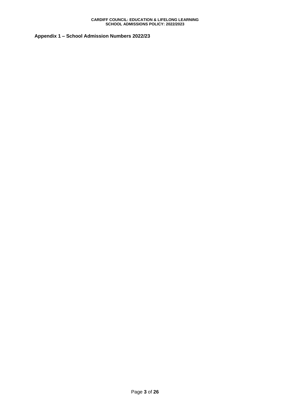**Appendix 1 – School Admission Numbers 2022/23**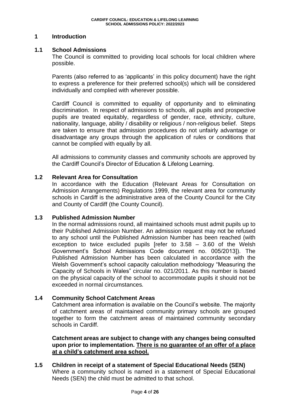#### **1 Introduction**

#### **1.1 School Admissions**

The Council is committed to providing local schools for local children where possible.

Parents (also referred to as 'applicants' in this policy document) have the right to express a preference for their preferred school(s) which will be considered individually and complied with wherever possible.

Cardiff Council is committed to equality of opportunity and to eliminating discrimination. In respect of admissions to schools, all pupils and prospective pupils are treated equitably, regardless of gender, race, ethnicity, culture, nationality, language, ability / disability or religious / non-religious belief. Steps are taken to ensure that admission procedures do not unfairly advantage or disadvantage any groups through the application of rules or conditions that cannot be complied with equally by all.

All admissions to community classes and community schools are approved by the Cardiff Council's Director of Education & Lifelong Learning.

#### **1.2 Relevant Area for Consultation**

In accordance with the Education (Relevant Areas for Consultation on Admission Arrangements) Regulations 1999, the relevant area for community schools in Cardiff is the administrative area of the County Council for the City and County of Cardiff (the County Council).

#### **1.3 Published Admission Number**

In the normal admissions round, all maintained schools must admit pupils up to their Published Admission Number. An admission request may not be refused to any school until the Published Admission Number has been reached (with exception to twice excluded pupils [refer to  $3.58 - 3.60$  of the Welsh Government's School Admissions Code document no. 005/2013]). The Published Admission Number has been calculated in accordance with the Welsh Government's school capacity calculation methodology "Measuring the Capacity of Schools in Wales" circular no. 021/2011. As this number is based on the physical capacity of the school to accommodate pupils it should not be exceeded in normal circumstances*.* 

#### **1.4 Community School Catchment Areas**

Catchment area information is available on the Council's website. The majority of catchment areas of maintained community primary schools are grouped together to form the catchment areas of maintained community secondary schools in Cardiff.

# **Catchment areas are subject to change with any changes being consulted upon prior to implementation. There is no guarantee of an offer of a place at a child's catchment area school.**

**1.5 Children in receipt of a statement of Special Educational Needs (SEN)** Where a community school is named in a statement of Special Educational Needs (SEN) the child must be admitted to that school.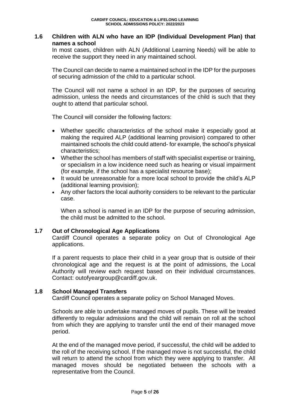### **1.6 Children with ALN who have an IDP (Individual Development Plan) that names a school**

In most cases, children with ALN (Additional Learning Needs) will be able to receive the support they need in any maintained school.

The Council can decide to name a maintained school in the IDP for the purposes of securing admission of the child to a particular school.

The Council will not name a school in an IDP, for the purposes of securing admission, unless the needs and circumstances of the child is such that they ought to attend that particular school.

The Council will consider the following factors:

- Whether specific characteristics of the school make it especially good at making the required ALP (additional learning provision) compared to other maintained schools the child could attend- for example, the school's physical characteristics;
- Whether the school has members of staff with specialist expertise or training, or specialism in a low incidence need such as hearing or visual impairment (for example, if the school has a specialist resource base);
- It would be unreasonable for a more local school to provide the child's ALP (additional learning provision);
- Any other factors the local authority considers to be relevant to the particular case.

When a school is named in an IDP for the purpose of securing admission, the child must be admitted to the school.

#### **1.7 Out of Chronological Age Applications**

Cardiff Council operates a separate policy on Out of Chronological Age applications.

If a parent requests to place their child in a year group that is outside of their chronological age and the request is at the point of admissions, the Local Authority will review each request based on their individual circumstances. Contact: outofyeargroup@cardiff.gov.uk.

#### **1.8 School Managed Transfers**

Cardiff Council operates a separate policy on School Managed Moves.

Schools are able to undertake managed moves of pupils. These will be treated differently to regular admissions and the child will remain on roll at the school from which they are applying to transfer until the end of their managed move period.

At the end of the managed move period, if successful, the child will be added to the roll of the receiving school. If the managed move is not successful, the child will return to attend the school from which they were applying to transfer. All managed moves should be negotiated between the schools with a representative from the Council.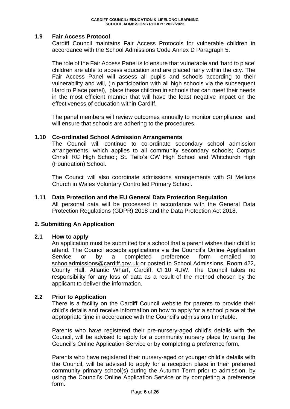### **1.9 Fair Access Protocol**

Cardiff Council maintains Fair Access Protocols for vulnerable children in accordance with the School Admissions Code Annex D Paragraph 5.

The role of the Fair Access Panel is to ensure that vulnerable and 'hard to place' children are able to access education and are placed fairly within the city. The Fair Access Panel will assess all pupils and schools according to their vulnerability and will, (in participation with all high schools via the subsequent Hard to Place panel), place these children in schools that can meet their needs in the most efficient manner that will have the least negative impact on the effectiveness of education within Cardiff.

The panel members will review outcomes annually to monitor compliance and will ensure that schools are adhering to the procedures.

#### **1.10 Co-ordinated School Admission Arrangements**

The Council will continue to co-ordinate secondary school admission arrangements, which applies to all community secondary schools; Corpus Christi RC High School; St. Teilo's CW High School and Whitchurch High (Foundation) School.

The Council will also coordinate admissions arrangements with St Mellons Church in Wales Voluntary Controlled Primary School.

#### **1.11 Data Protection and the EU General Data Protection Regulation**

All personal data will be processed in accordance with the General Data Protection Regulations (GDPR) 2018 and the Data Protection Act 2018.

#### **2. Submitting An Application**

#### **2.1 How to apply**

An application must be submitted for a school that a parent wishes their child to attend. The Council accepts applications via the Council's Online Application Service or by a completed preference form emailed to [schooladmissions@cardiff.gov.uk](mailto:schooladmissions@cardiff.gov.uk) or posted to School Admissions, Room 422, County Hall, Atlantic Wharf, Cardiff, CF10 4UW. The Council takes no responsibility for any loss of data as a result of the method chosen by the applicant to deliver the information.

#### **2.2 Prior to Application**

There is a facility on the Cardiff Council website for parents to provide their child's details and receive information on how to apply for a school place at the appropriate time in accordance with the Council's admissions timetable.

Parents who have registered their pre-nursery-aged child's details with the Council, will be advised to apply for a community nursery place by using the Council's Online Application Service or by completing a preference form.

Parents who have registered their nursery-aged or younger child's details with the Council, will be advised to apply for a reception place in their preferred community primary school(s) during the Autumn Term prior to admission, by using the Council's Online Application Service or by completing a preference form.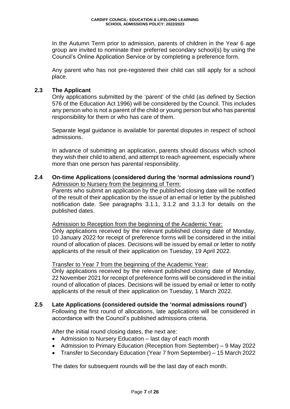In the Autumn Term prior to admission, parents of children in the Year 6 age group are invited to nominate their preferred secondary school(s) by using the Council's Online Application Service or by completing a preference form.

Any parent who has not pre-registered their child can still apply for a school place.

#### **2.3 The Applicant**

Only applications submitted by the 'parent' of the child (as defined by Section 576 of the Education Act 1996) will be considered by the Council. This includes any person who is not a parent of the child or young person but who has parental responsibility for them or who has care of them.

Separate legal guidance is available for parental disputes in respect of school admissions.

In advance of submitting an application, parents should discuss which school they wish their child to attend, and attempt to reach agreement, especially where more than one person has parental responsibility.

**2.4 On-time Applications (considered during the 'normal admissions round')** Admission to Nursery from the beginning of Term:

Parents who submit an application by the published closing date will be notified of the result of their application by the issue of an email or letter by the published notification date. See paragraphs 3.1.1, 3.1.2 and 3.1.3 for details on the published dates.

Admission to Reception from the beginning of the Academic Year:

Only applications received by the relevant published closing date of Monday, 10 January 2022 for receipt of preference forms will be considered in the initial round of allocation of places. Decisions will be issued by email or letter to notify applicants of the result of their application on Tuesday, 19 April 2022.

#### Transfer to Year 7 from the beginning of the Academic Year:

Only applications received by the relevant published closing date of Monday, 22 November 2021 for receipt of preference forms will be considered in the initial round of allocation of places. Decisions will be issued by email or letter to notify applicants of the result of their application on Tuesday, 1 March 2022.

#### **2.5 Late Applications (considered outside the 'normal admissions round')**

Following the first round of allocations, late applications will be considered in accordance with the Council's published admissions criteria.

After the initial round closing dates, the next are:

- Admission to Nursery Education last day of each month
- Admission to Primary Education (Reception from September) 9 May 2022
- Transfer to Secondary Education (Year 7 from September) 15 March 2022

The dates for subsequent rounds will be the last day of each month.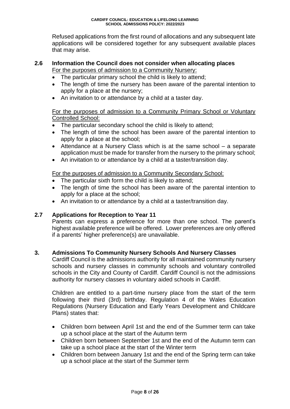Refused applications from the first round of allocations and any subsequent late applications will be considered together for any subsequent available places that may arise.

#### **2.6 Information the Council does not consider when allocating places** For the purposes of admission to a Community Nursery:

- The particular primary school the child is likely to attend;
- The length of time the nursery has been aware of the parental intention to apply for a place at the nursery;
- An invitation to or attendance by a child at a taster day.

### For the purposes of admission to a Community Primary School or Voluntary Controlled School:

- The particular secondary school the child is likely to attend:
- The length of time the school has been aware of the parental intention to apply for a place at the school;
- Attendance at a Nursery Class which is at the same school a separate application must be made for transfer from the nursery to the primary school;
- An invitation to or attendance by a child at a taster/transition day.

For the purposes of admission to a Community Secondary School:

- The particular sixth form the child is likely to attend;
- The length of time the school has been aware of the parental intention to apply for a place at the school;
- An invitation to or attendance by a child at a taster/transition day.

### **2.7 Applications for Reception to Year 11**

Parents can express a preference for more than one school. The parent's highest available preference will be offered. Lower preferences are only offered if a parents' higher preference(s) are unavailable.

#### **3. Admissions To Community Nursery Schools And Nursery Classes**

Cardiff Council is the admissions authority for all maintained community nursery schools and nursery classes in community schools and voluntary controlled schools in the City and County of Cardiff. Cardiff Council is not the admissions authority for nursery classes in voluntary aided schools in Cardiff.

Children are entitled to a part-time nursery place from the start of the term following their third (3rd) birthday. Regulation 4 of the Wales Education Regulations (Nursery Education and Early Years Development and Childcare Plans) states that:

- Children born between April 1st and the end of the Summer term can take up a school place at the start of the Autumn term
- Children born between September 1st and the end of the Autumn term can take up a school place at the start of the Winter term
- Children born between January 1st and the end of the Spring term can take up a school place at the start of the Summer term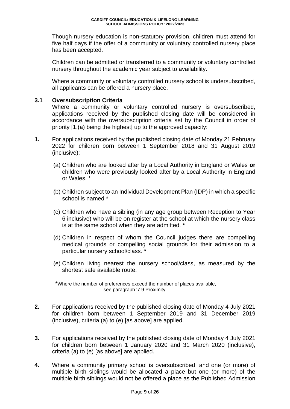Though nursery education is non-statutory provision, children must attend for five half days if the offer of a community or voluntary controlled nursery place has been accepted.

Children can be admitted or transferred to a community or voluntary controlled nursery throughout the academic year subject to availability.

Where a community or voluntary controlled nursery school is undersubscribed, all applicants can be offered a nursery place.

#### **3.1 Oversubscription Criteria**

Where a community or voluntary controlled nursery is oversubscribed, applications received by the published closing date will be considered in accordance with the oversubscription criteria set by the Council in order of priority [1.(a) being the highest] up to the approved capacity:

- **1.** For applications received by the published closing date of Monday 21 February 2022 for children born between 1 September 2018 and 31 August 2019 (inclusive):
	- (a) Children who are looked after by a Local Authority in England or Wales **or**  children who were previously looked after by a Local Authority in England or Wales. \*
	- (b) Children subject to an Individual Development Plan (IDP) in which a specific school is named \*
	- (c) Children who have a sibling (in any age group between Reception to Year 6 inclusive) who will be on register at the school at which the nursery class is at the same school when they are admitted. **\***
	- (d) Children in respect of whom the Council judges there are compelling medical grounds or compelling social grounds for their admission to a particular nursery school/class. **\***
	- (e) Children living nearest the nursery school/class, as measured by the shortest safe available route.

\*Where the number of preferences exceed the number of places available, see paragraph '7.9 Proximity'.

- **2.** For applications received by the published closing date of Monday 4 July 2021 for children born between 1 September 2019 and 31 December 2019 (inclusive), criteria (a) to (e) [as above] are applied.
- **3.** For applications received by the published closing date of Monday 4 July 2021 for children born between 1 January 2020 and 31 March 2020 (inclusive), criteria (a) to (e) [as above] are applied.
- **4.** Where a community primary school is oversubscribed, and one (or more) of multiple birth siblings would be allocated a place but one (or more) of the multiple birth siblings would not be offered a place as the Published Admission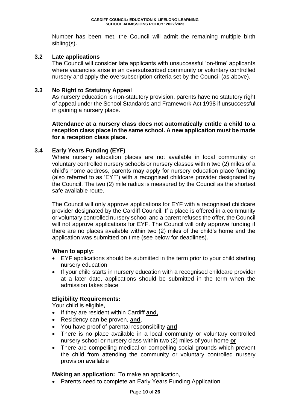Number has been met, the Council will admit the remaining multiple birth sibling(s).

### **3.2 Late applications**

The Council will consider late applicants with unsuccessful 'on-time' applicants where vacancies arise in an oversubscribed community or voluntary controlled nursery and apply the oversubscription criteria set by the Council (as above).

### **3.3 No Right to Statutory Appeal**

As nursery education is non-statutory provision, parents have no statutory right of appeal under the School Standards and Framework Act 1998 if unsuccessful in gaining a nursery place.

**Attendance at a nursery class does not automatically entitle a child to a reception class place in the same school. A new application must be made for a reception class place.**

# **3.4 Early Years Funding (EYF)**

Where nursery education places are not available in local community or voluntary controlled nursery schools or nursery classes within two (2) miles of a child's home address, parents may apply for nursery education place funding (also referred to as 'EYF') with a recognised childcare provider designated by the Council. The two (2) mile radius is measured by the Council as the shortest safe available route.

The Council will only approve applications for EYF with a recognised childcare provider designated by the Cardiff Council. If a place is offered in a community or voluntary controlled nursery school and a parent refuses the offer, the Council will not approve applications for EYF. The Council will only approve funding if there are no places available within two (2) miles of the child's home and the application was submitted on time (see below for deadlines).

#### **When to apply:**

- EYF applications should be submitted in the term prior to your child starting nursery education
- If your child starts in nursery education with a recognised childcare provider at a later date, applications should be submitted in the term when the admission takes place

#### **Eligibility Requirements:**

Your child is eligible,

- If they are resident within Cardiff **and**,
- Residency can be proven, **and**,
- You have proof of parental responsibility **and**,
- There is no place available in a local community or voluntary controlled nursery school or nursery class within two (2) miles of your home **or**,
- There are compelling medical or compelling social grounds which prevent the child from attending the community or voluntary controlled nursery provision available

**Making an application:** To make an application,

• Parents need to complete an Early Years Funding Application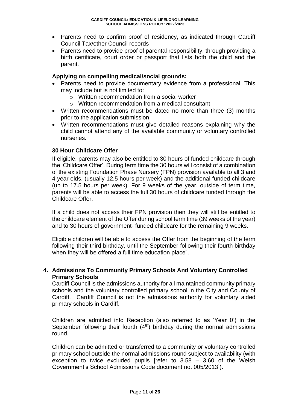- Parents need to confirm proof of residency, as indicated through Cardiff Council Tax/other Council records
- Parents need to provide proof of parental responsibility, through providing a birth certificate, court order or passport that lists both the child and the parent.

#### **Applying on compelling medical/social grounds:**

- Parents need to provide documentary evidence from a professional. This may include but is not limited to:
	- o Written recommendation from a social worker
	- o Written recommendation from a medical consultant
- Written recommendations must be dated no more than three (3) months prior to the application submission
- Written recommendations must give detailed reasons explaining why the child cannot attend any of the available community or voluntary controlled nurseries.

# **30 Hour Childcare Offer**

If eligible, parents may also be entitled to 30 hours of funded childcare through the 'Childcare Offer'. During term time the 30 hours will consist of a combination of the existing Foundation Phase Nursery (FPN) provision available to all 3 and 4 year olds, (usually 12.5 hours per week) and the additional funded childcare (up to 17.5 hours per week). For 9 weeks of the year, outside of term time, parents will be able to access the full 30 hours of childcare funded through the Childcare Offer.

If a child does not access their FPN provision then they will still be entitled to the childcare element of the Offer during school term time (39 weeks of the year) and to 30 hours of government- funded childcare for the remaining 9 weeks.

Eligible children will be able to access the Offer from the beginning of the term following their third birthday, until the September following their fourth birthday when they will be offered a full time education place".

#### **4. Admissions To Community Primary Schools And Voluntary Controlled Primary Schools**

Cardiff Council is the admissions authority for all maintained community primary schools and the voluntary controlled primary school in the City and County of Cardiff. Cardiff Council is not the admissions authority for voluntary aided primary schools in Cardiff.

Children are admitted into Reception (also referred to as 'Year 0') in the September following their fourth  $(4<sup>th</sup>)$  birthday during the normal admissions round.

Children can be admitted or transferred to a community or voluntary controlled primary school outside the normal admissions round subject to availability (with exception to twice excluded pupils [refer to  $3.58 - 3.60$  of the Welsh Government's School Admissions Code document no. 005/2013]).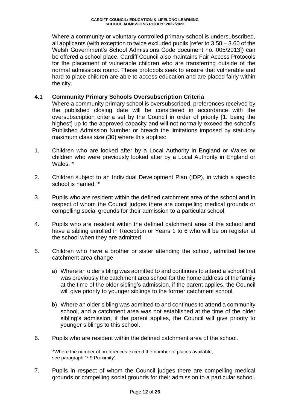Where a community or voluntary controlled primary school is undersubscribed, all applicants (with exception to twice excluded pupils [refer to 3.58 – 3.60 of the Welsh Government's School Admissions Code document no. 005/2013]) can be offered a school place. Cardiff Council also maintains Fair Access Protocols for the placement of vulnerable children who are transferring outside of the normal admissions round. These protocols seek to ensure that vulnerable and hard to place children are able to access education and are placed fairly within the city.

### **4.1 Community Primary Schools Oversubscription Criteria**

Where a community primary school is oversubscribed, preferences received by the published closing date will be considered in accordance with the oversubscription criteria set by the Council in order of priority [1. being the highest] up to the approved capacity and will not normally exceed the school's Published Admission Number or breach the limitations imposed by statutory maximum class size (30) where this applies:

- 1. Children who are looked after by a Local Authority in England or Wales **or** children who were previously looked after by a Local Authority in England or Wales. \*
- 2. Children subject to an Individual Development Plan (IDP), in which a specific school is named. **\***
- 3. Pupils who are resident within the defined catchment area of the school **and** in respect of whom the Council judges there are compelling medical grounds or compelling social grounds for their admission to a particular school.
- 4. Pupils who are resident within the defined catchment area of the school **and** have a sibling enrolled in Reception or Years 1 to 6 who will be on register at the school when they are admitted.
- 5. Children who have a brother or sister attending the school, admitted before catchment area change
	- a) Where an older sibling was admitted to and continues to attend a school that was previously the catchment area school for the home address of the family at the time of the older sibling's admission, if the parent applies, the Council will give priority to younger siblings to the former catchment school.
	- b) Where an older sibling was admitted to and continues to attend a community school, and a catchment area was not established at the time of the older sibling's admission, if the parent applies, the Council will give priority to younger siblings to this school.
- 6. Pupils who are resident within the defined catchment area of the school.

\*Where the number of preferences exceed the number of places available, see paragraph '7.9 Proximity'.

7. Pupils in respect of whom the Council judges there are compelling medical grounds or compelling social grounds for their admission to a particular school.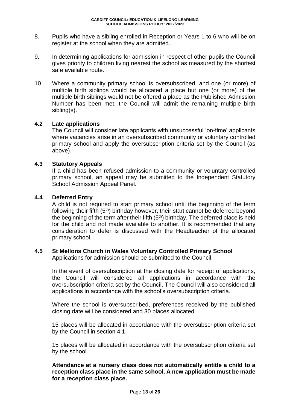- 8. Pupils who have a sibling enrolled in Reception or Years 1 to 6 who will be on register at the school when they are admitted.
- 9. In determining applications for admission in respect of other pupils the Council gives priority to children living nearest the school as measured by the shortest safe available route.
- 10. Where a community primary school is oversubscribed, and one (or more) of multiple birth siblings would be allocated a place but one (or more) of the multiple birth siblings would not be offered a place as the Published Admission Number has been met, the Council will admit the remaining multiple birth sibling(s).

# **4.2 Late applications**

The Council will consider late applicants with unsuccessful 'on-time' applicants where vacancies arise in an oversubscribed community or voluntary controlled primary school and apply the oversubscription criteria set by the Council (as above).

#### **4.3 Statutory Appeals**

If a child has been refused admission to a community or voluntary controlled primary school, an appeal may be submitted to the Independent Statutory School Admission Appeal Panel.

#### **4.4 Deferred Entry**

A child is not required to start primary school until the beginning of the term following their fifth (5<sup>th</sup>) birthday however, their start cannot be deferred beyond the beginning of the term after their fifth  $(5<sup>th</sup>)$  birthday. The deferred place is held for the child and not made available to another. It is recommended that any consideration to defer is discussed with the Headteacher of the allocated primary school.

#### **4.5 St Mellons Church in Wales Voluntary Controlled Primary School**

Applications for admission should be submitted to the Council.

In the event of oversubscription at the closing date for receipt of applications, the Council will considered all applications in accordance with the oversubscription criteria set by the Council. The Council will also considered all applications in accordance with the school's oversubscription criteria.

Where the school is oversubscribed, preferences received by the published closing date will be considered and 30 places allocated.

15 places will be allocated in accordance with the oversubscription criteria set by the Council in section 4.1.

15 places will be allocated in accordance with the oversubscription criteria set by the school.

**Attendance at a nursery class does not automatically entitle a child to a reception class place in the same school. A new application must be made for a reception class place.**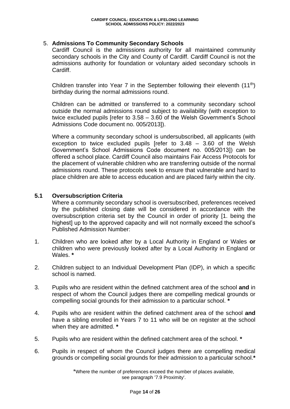### 5. **Admissions To Community Secondary Schools**

Cardiff Council is the admissions authority for all maintained community secondary schools in the City and County of Cardiff. Cardiff Council is not the admissions authority for foundation or voluntary aided secondary schools in Cardiff.

Children transfer into Year 7 in the September following their eleventh  $(11<sup>th</sup>)$ birthday during the normal admissions round.

Children can be admitted or transferred to a community secondary school outside the normal admissions round subject to availability (with exception to twice excluded pupils [refer to 3.58 – 3.60 of the Welsh Government's School Admissions Code document no. 005/2013]).

Where a community secondary school is undersubscribed, all applicants (with exception to twice excluded pupils [refer to 3.48 – 3.60 of the Welsh Government's School Admissions Code document no. 005/2013]) can be offered a school place. Cardiff Council also maintains Fair Access Protocols for the placement of vulnerable children who are transferring outside of the normal admissions round. These protocols seek to ensure that vulnerable and hard to place children are able to access education and are placed fairly within the city.

#### **5.1 Oversubscription Criteria**

Where a community secondary school is oversubscribed, preferences received by the published closing date will be considered in accordance with the oversubscription criteria set by the Council in order of priority [1. being the highest] up to the approved capacity and will not normally exceed the school's Published Admission Number:

- 1. Children who are looked after by a Local Authority in England or Wales **or** children who were previously looked after by a Local Authority in England or Wales. **\***
- 2. Children subject to an Individual Development Plan (IDP), in which a specific school is named.
- 3. Pupils who are resident within the defined catchment area of the school **and** in respect of whom the Council judges there are compelling medical grounds or compelling social grounds for their admission to a particular school. **\***
- 4. Pupils who are resident within the defined catchment area of the school **and** have a sibling enrolled in Years 7 to 11 who will be on register at the school when they are admitted. **\***
- 5. Pupils who are resident within the defined catchment area of the school. **\***
- 6. Pupils in respect of whom the Council judges there are compelling medical grounds or compelling social grounds for their admission to a particular school.**\***

\*Where the number of preferences exceed the number of places available, see paragraph '7.9 Proximity'.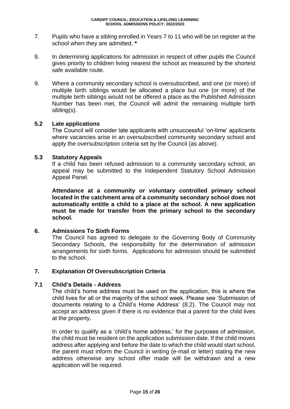- 7. Pupils who have a sibling enrolled in Years 7 to 11 who will be on register at the school when they are admitted. **\***
- 8. In determining applications for admission in respect of other pupils the Council gives priority to children living nearest the school as measured by the shortest safe available route.
- 9. Where a community secondary school is oversubscribed, and one (or more) of multiple birth siblings would be allocated a place but one (or more) of the multiple birth siblings would not be offered a place as the Published Admission Number has been met, the Council will admit the remaining multiple birth sibling(s).

#### **5.2 Late applications**

The Council will consider late applicants with unsuccessful 'on-time' applicants where vacancies arise in an oversubscribed community secondary school and apply the oversubscription criteria set by the Council (as above).

#### **5.3 Statutory Appeals**

If a child has been refused admission to a community secondary school, an appeal may be submitted to the Independent Statutory School Admission Appeal Panel.

**Attendance at a community or voluntary controlled primary school located in the catchment area of a community secondary school does not automatically entitle a child to a place at the school. A new application must be made for transfer from the primary school to the secondary school.**

#### **6. Admissions To Sixth Forms**

The Council has agreed to delegate to the Governing Body of Community Secondary Schools, the responsibility for the determination of admission arrangements for sixth forms. Applications for admission should be submitted to the school.

#### **7. Explanation Of Oversubscription Criteria**

#### **7.1 Child's Details - Address**

The child's home address must be used on the application, this is where the child lives for all or the majority of the school week. Please see 'Submission of documents relating to a Child's Home Address' (8.2). The Council may not accept an address given if there is no evidence that a parent for the child lives at the property.

In order to qualify as a 'child's home address,' for the purposes of admission, the child must be resident on the application submission date. If the child moves address after applying and before the date to which the child would start school, the parent must inform the Council in writing (e-mail or letter) stating the new address otherwise any school offer made will be withdrawn and a new application will be required.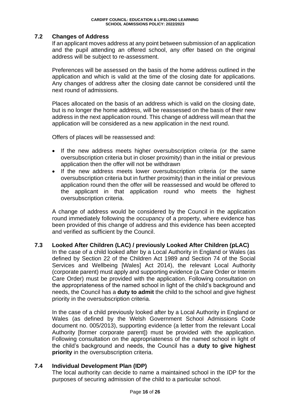# **7.2 Changes of Address**

If an applicant moves address at any point between submission of an application and the pupil attending an offered school, any offer based on the original address will be subject to re-assessment.

Preferences will be assessed on the basis of the home address outlined in the application and which is valid at the time of the closing date for applications. Any changes of address after the closing date cannot be considered until the next round of admissions.

Places allocated on the basis of an address which is valid on the closing date, but is no longer the home address, will be reassessed on the basis of their new address in the next application round. This change of address will mean that the application will be considered as a new application in the next round.

Offers of places will be reassessed and:

- If the new address meets higher oversubscription criteria (or the same oversubscription criteria but in closer proximity) than in the initial or previous application then the offer will not be withdrawn
- If the new address meets lower oversubscription criteria (or the same oversubscription criteria but in further proximity) than in the initial or previous application round then the offer will be reassessed and would be offered to the applicant in that application round who meets the highest oversubscription criteria.

A change of address would be considered by the Council in the application round immediately following the occupancy of a property, where evidence has been provided of this change of address and this evidence has been accepted and verified as sufficient by the Council.

#### **7.3 Looked After Children (LAC) / previously Looked After Children (pLAC)**

In the case of a child looked after by a Local Authority in England or Wales (as defined by Section 22 of the Children Act 1989 and Section 74 of the Social Services and Wellbeing [Wales] Act 2014), the relevant Local Authority (corporate parent) must apply and supporting evidence (a Care Order or Interim Care Order) must be provided with the application. Following consultation on the appropriateness of the named school in light of the child's background and needs, the Council has a **duty to admit** the child to the school and give highest priority in the oversubscription criteria.

In the case of a child previously looked after by a Local Authority in England or Wales (as defined by the Welsh Government School Admissions Code document no. 005/2013), supporting evidence (a letter from the relevant Local Authority [former corporate parent]) must be provided with the application. Following consultation on the appropriateness of the named school in light of the child's background and needs, the Council has a **duty to give highest priority** in the oversubscription criteria.

#### **7.4 Individual Development Plan (IDP)**

The local authority can decide to name a maintained school in the IDP for the purposes of securing admission of the child to a particular school.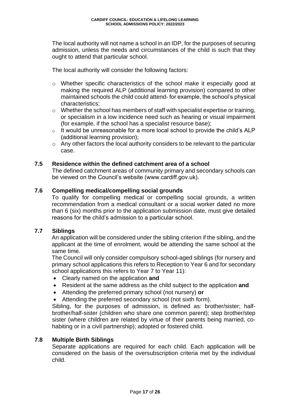The local authority will not name a school in an IDP, for the purposes of securing admission, unless the needs and circumstances of the child is such that they ought to attend that particular school.

The local authority will consider the following factors:

- o Whether specific characteristics of the school make it especially good at making the required ALP (additional learning provision) compared to other maintained schools the child could attend- for example, the school's physical characteristics;
- o Whether the school has members of staff with specialist expertise or training, or specialism in a low incidence need such as hearing or visual impairment (for example, if the school has a specialist resource base);
- $\circ$  It would be unreasonable for a more local school to provide the child's ALP (additional learning provision);
- o Any other factors the local authority considers to be relevant to the particular case.

#### **7.5 Residence within the defined catchment area of a school**

The defined catchment areas of community primary and secondary schools can be viewed on the Council's website (www.cardiff.gov.uk).

# **7.6 Compelling medical/compelling social grounds**

To qualify for compelling medical or compelling social grounds, a written recommendation from a medical consultant or a social worker dated no more than 6 (six) months prior to the application submission date, must give detailed reasons for the child's admission to a particular school.

#### **7.7 Siblings**

An application will be considered under the sibling criterion if the sibling, and the applicant at the time of enrolment, would be attending the same school at the same time.

The Council will only consider compulsory school-aged siblings (for nursery and primary school applications this refers to Reception to Year 6 and for secondary school applications this refers to Year 7 to Year 11):

- Clearly named on the application **and**
- Resident at the same address as the child subject to the application **and**
- Attending the preferred primary school (not nursery) **or**
- Attending the preferred secondary school (not sixth form).

Sibling, for the purposes of admission, is defined as: brother/sister; halfbrother/half-sister (children who share one common parent); step brother/step sister (where children are related by virtue of their parents being married, cohabiting or in a civil partnership); adopted or fostered child.

#### **7.8 Multiple Birth Siblings**

Separate applications are required for each child. Each application will be considered on the basis of the oversubscription criteria met by the individual child.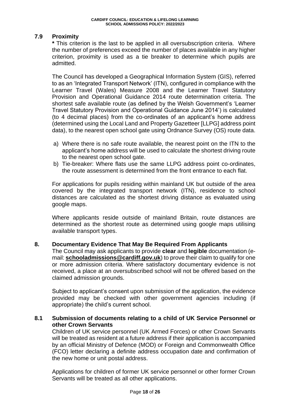# **7.9 Proximity**

**\*** This criterion is the last to be applied in all oversubscription criteria. Where the number of preferences exceed the number of places available in any higher criterion, proximity is used as a tie breaker to determine which pupils are admitted.

The Council has developed a Geographical Information System (GIS), referred to as an 'Integrated Transport Network' (ITN), configured in compliance with the Learner Travel (Wales) Measure 2008 and the Learner Travel Statutory Provision and Operational Guidance 2014 route determination criteria. The shortest safe available route (as defined by the Welsh Government's 'Learner Travel Statutory Provision and Operational Guidance June 2014') is calculated (to 4 decimal places) from the co-ordinates of an applicant's home address (determined using the Local Land and Property Gazetteer [LLPG] address point data), to the nearest open school gate using Ordnance Survey (OS) route data.

- a) Where there is no safe route available, the nearest point on the ITN to the applicant's home address will be used to calculate the shortest driving route to the nearest open school gate.
- b) Tie-breaker: Where flats use the same LLPG address point co-ordinates, the route assessment is determined from the front entrance to each flat.

For applications for pupils residing within mainland UK but outside of the area covered by the integrated transport network (ITN), residence to school distances are calculated as the shortest driving distance as evaluated using google maps.

Where applicants reside outside of mainland Britain, route distances are determined as the shortest route as determined using google maps utilising available transport types.

#### **8. Documentary Evidence That May Be Required From Applicants**

The Council may ask applicants to provide **clear** and **legible** documentation (email: **[schooladmissions@cardiff.gov.uk](mailto:schooladmissions@cardiff.gov.uk)**) to prove their claim to qualify for one or more admission criteria. Where satisfactory documentary evidence is not received, a place at an oversubscribed school will not be offered based on the claimed admission grounds.

Subject to applicant's consent upon submission of the application, the evidence provided may be checked with other government agencies including (if appropriate) the child's current school.

#### **8.1 Submission of documents relating to a child of UK Service Personnel or other Crown Servants**

Children of UK service personnel (UK Armed Forces) or other Crown Servants will be treated as resident at a future address if their application is accompanied by an official Ministry of Defence (MOD) or Foreign and Commonwealth Office (FCO) letter declaring a definite address occupation date and confirmation of the new home or unit postal address.

Applications for children of former UK service personnel or other former Crown Servants will be treated as all other applications.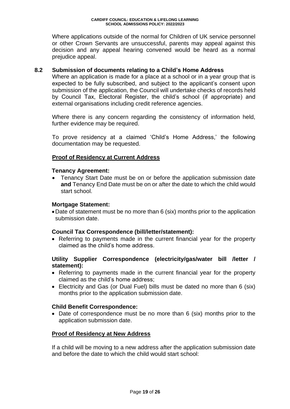Where applications outside of the normal for Children of UK service personnel or other Crown Servants are unsuccessful, parents may appeal against this decision and any appeal hearing convened would be heard as a normal prejudice appeal.

#### **8.2 Submission of documents relating to a Child's Home Address**

Where an application is made for a place at a school or in a year group that is expected to be fully subscribed, and subject to the applicant's consent upon submission of the application, the Council will undertake checks of records held by Council Tax, Electoral Register, the child's school (if appropriate) and external organisations including credit reference agencies.

Where there is any concern regarding the consistency of information held, further evidence may be required.

To prove residency at a claimed 'Child's Home Address,' the following documentation may be requested.

# **Proof of Residency at Current Address**

#### **Tenancy Agreement:**

 Tenancy Start Date must be on or before the application submission date **and** Tenancy End Date must be on or after the date to which the child would start school.

#### **Mortgage Statement:**

Date of statement must be no more than 6 (six) months prior to the application submission date.

#### **Council Tax Correspondence (bill/letter/statement):**

 Referring to payments made in the current financial year for the property claimed as the child's home address.

#### **Utility Supplier Correspondence (electricity/gas/water bill /letter / statement):**

- Referring to payments made in the current financial year for the property claimed as the child's home address;
- Electricity and Gas (or Dual Fuel) bills must be dated no more than 6 (six) months prior to the application submission date.

#### **Child Benefit Correspondence:**

• Date of correspondence must be no more than 6 (six) months prior to the application submission date.

#### **Proof of Residency at New Address**

If a child will be moving to a new address after the application submission date and before the date to which the child would start school: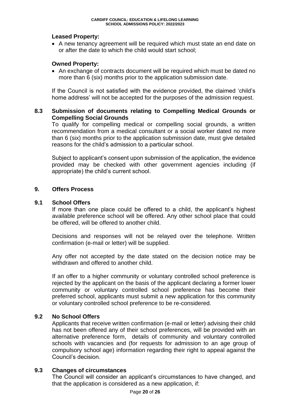### **Leased Property:**

 A new tenancy agreement will be required which must state an end date on or after the date to which the child would start school;

# **Owned Property:**

 An exchange of contracts document will be required which must be dated no more than 6 (six) months prior to the application submission date.

If the Council is not satisfied with the evidence provided, the claimed 'child's home address' will not be accepted for the purposes of the admission request.

### **8.3 Submission of documents relating to Compelling Medical Grounds or Compelling Social Grounds**

To qualify for compelling medical or compelling social grounds, a written recommendation from a medical consultant or a social worker dated no more than 6 (six) months prior to the application submission date, must give detailed reasons for the child's admission to a particular school.

Subject to applicant's consent upon submission of the application, the evidence provided may be checked with other government agencies including (if appropriate) the child's current school.

#### **9. Offers Process**

# **9.1 School Offers**

If more than one place could be offered to a child, the applicant's highest available preference school will be offered. Any other school place that could be offered, will be offered to another child.

Decisions and responses will not be relayed over the telephone. Written confirmation (e-mail or letter) will be supplied.

Any offer not accepted by the date stated on the decision notice may be withdrawn and offered to another child.

If an offer to a higher community or voluntary controlled school preference is rejected by the applicant on the basis of the applicant declaring a former lower community or voluntary controlled school preference has become their preferred school, applicants must submit a new application for this community or voluntary controlled school preference to be re-considered.

#### **9.2 No School Offers**

Applicants that receive written confirmation (e-mail or letter) advising their child has not been offered any of their school preferences, will be provided with an alternative preference form, details of community and voluntary controlled schools with vacancies and (for requests for admission to an age group of compulsory school age) information regarding their right to appeal against the Council's decision.

# **9.3 Changes of circumstances**

The Council will consider an applicant's circumstances to have changed, and that the application is considered as a new application, if: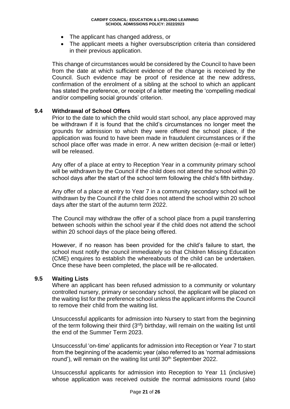- The applicant has changed address, or
- The applicant meets a higher oversubscription criteria than considered in their previous application.

This change of circumstances would be considered by the Council to have been from the date at which sufficient evidence of the change is received by the Council. Such evidence may be proof of residence at the new address, confirmation of the enrolment of a sibling at the school to which an applicant has stated the preference, or receipt of a letter meeting the 'compelling medical and/or compelling social grounds' criterion.

#### **9.4 Withdrawal of School Offers**

Prior to the date to which the child would start school, any place approved may be withdrawn if it is found that the child's circumstances no longer meet the grounds for admission to which they were offered the school place, if the application was found to have been made in fraudulent circumstances or if the school place offer was made in error. A new written decision (e-mail or letter) will be released.

Any offer of a place at entry to Reception Year in a community primary school will be withdrawn by the Council if the child does not attend the school within 20 school days after the start of the school term following the child's fifth birthday.

Any offer of a place at entry to Year 7 in a community secondary school will be withdrawn by the Council if the child does not attend the school within 20 school days after the start of the autumn term 2022.

The Council may withdraw the offer of a school place from a pupil transferring between schools within the school year if the child does not attend the school within 20 school days of the place being offered.

However, if no reason has been provided for the child's failure to start, the school must notify the council immediately so that Children Missing Education (CME) enquires to establish the whereabouts of the child can be undertaken. Once these have been completed, the place will be re-allocated.

#### **9.5 Waiting Lists**

Where an applicant has been refused admission to a community or voluntary controlled nursery, primary or secondary school, the applicant will be placed on the waiting list for the preference school unless the applicant informs the Council to remove their child from the waiting list.

Unsuccessful applicants for admission into Nursery to start from the beginning of the term following their third (3<sup>rd</sup>) birthday, will remain on the waiting list until the end of the Summer Term 2023.

Unsuccessful 'on-time' applicants for admission into Reception or Year 7 to start from the beginning of the academic year (also referred to as 'normal admissions round'), will remain on the waiting list until 30<sup>th</sup> September 2022.

Unsuccessful applicants for admission into Reception to Year 11 (inclusive) whose application was received outside the normal admissions round (also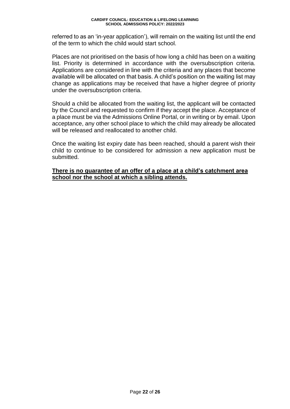referred to as an 'in-year application'), will remain on the waiting list until the end of the term to which the child would start school.

Places are not prioritised on the basis of how long a child has been on a waiting list. Priority is determined in accordance with the oversubscription criteria. Applications are considered in line with the criteria and any places that become available will be allocated on that basis. A child's position on the waiting list may change as applications may be received that have a higher degree of priority under the oversubscription criteria.

Should a child be allocated from the waiting list, the applicant will be contacted by the Council and requested to confirm if they accept the place. Acceptance of a place must be via the Admissions Online Portal, or in writing or by email. Upon acceptance, any other school place to which the child may already be allocated will be released and reallocated to another child.

Once the waiting list expiry date has been reached, should a parent wish their child to continue to be considered for admission a new application must be submitted.

#### **There is no guarantee of an offer of a place at a child's catchment area school nor the school at which a sibling attends.**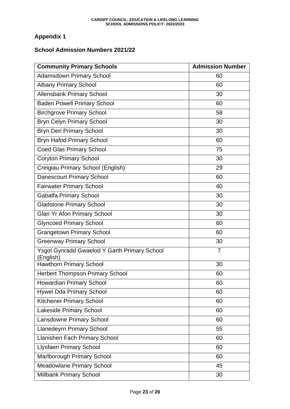# **Appendix 1**

# **School Admission Numbers 2021/22**

| <b>Community Primary Schools</b>                                 | <b>Admission Number</b> |
|------------------------------------------------------------------|-------------------------|
| <b>Adamsdown Primary School</b>                                  | 60                      |
| <b>Albany Primary School</b>                                     | 60                      |
| <b>Allensbank Primary School</b>                                 | 30                      |
| <b>Baden Powell Primary School</b>                               | 60                      |
| <b>Birchgrove Primary School</b>                                 | 58                      |
| <b>Bryn Celyn Primary School</b>                                 | 30                      |
| <b>Bryn Deri Primary School</b>                                  | 30                      |
| <b>Bryn Hafod Primary School</b>                                 | 60                      |
| <b>Coed Glas Primary School</b>                                  | 75                      |
| <b>Coryton Primary School</b>                                    | 30                      |
| Creigiau Primary School (English)                                | 29                      |
| <b>Danescourt Primary School</b>                                 | 60                      |
| <b>Fairwater Primary School</b>                                  | 40                      |
| <b>Gabalfa Primary School</b>                                    | 30                      |
| <b>Gladstone Primary School</b>                                  | 30                      |
| Glan Yr Afon Primary School                                      | 30                      |
| <b>Glyncoed Primary School</b>                                   | 60                      |
| <b>Grangetown Primary School</b>                                 | 60                      |
| <b>Greenway Primary School</b>                                   | 30                      |
| <b>Ysgol Gynradd Gwaelod Y Garth Primary School</b><br>(English) | $\overline{7}$          |
| <b>Hawthorn Primary School</b>                                   | 30                      |
| <b>Herbert Thompson Primary School</b>                           | 60                      |
| <b>Howardian Primary School</b>                                  | 60                      |
| <b>Hywel Dda Primary School</b>                                  | 60                      |
| <b>Kitchener Primary School</b>                                  | 60                      |
| Lakeside Primary School                                          | 60                      |
| <b>Lansdowne Primary School</b>                                  | 60                      |
| <b>Llanedeyrn Primary School</b>                                 | 55                      |
| Llanishen Fach Primary School                                    | 60                      |
| <b>Llysfaen Primary School</b>                                   | 60                      |
| Marlborough Primary School                                       | 60                      |
| <b>Meadowlane Primary School</b>                                 | 45                      |
| Millbank Primary School                                          | 30                      |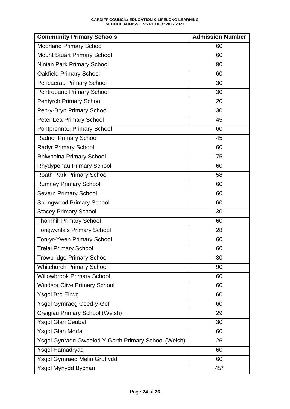#### **CARDIFF COUNCIL: EDUCATION & LIFELONG LEARNING SCHOOL ADMISSIONS POLICY: 2022/2023**

| <b>Community Primary Schools</b>                     | <b>Admission Number</b> |
|------------------------------------------------------|-------------------------|
| <b>Moorland Primary School</b>                       | 60                      |
| <b>Mount Stuart Primary School</b>                   | 60                      |
| Ninian Park Primary School                           | 90                      |
| <b>Oakfield Primary School</b>                       | 60                      |
| Pencaerau Primary School                             | 30                      |
| Pentrebane Primary School                            | 30                      |
| <b>Pentyrch Primary School</b>                       | 20                      |
| Pen-y-Bryn Primary School                            | 30                      |
| Peter Lea Primary School                             | 45                      |
| Pontprennau Primary School                           | 60                      |
| <b>Radnor Primary School</b>                         | 45                      |
| Radyr Primary School                                 | 60                      |
| Rhiwbeina Primary School                             | 75                      |
| Rhydypenau Primary School                            | 60                      |
| Roath Park Primary School                            | 58                      |
| <b>Rumney Primary School</b>                         | 60                      |
| <b>Severn Primary School</b>                         | 60                      |
| <b>Springwood Primary School</b>                     | 60                      |
| <b>Stacey Primary School</b>                         | 30                      |
| <b>Thornhill Primary School</b>                      | 60                      |
| <b>Tongwynlais Primary School</b>                    | 28                      |
| Ton-yr-Ywen Primary School                           | 60                      |
| <b>Trelai Primary School</b>                         | 60                      |
| <b>Trowbridge Primary School</b>                     | 30                      |
| <b>Whitchurch Primary School</b>                     | 90                      |
| <b>Willowbrook Primary School</b>                    | 60                      |
| <b>Windsor Clive Primary School</b>                  | 60                      |
| <b>Ysgol Bro Eirwg</b>                               | 60                      |
| Ysgol Gymraeg Coed-y-Gof                             | 60                      |
| Creigiau Primary School (Welsh)                      | 29                      |
| <b>Ysgol Glan Ceubal</b>                             | 30                      |
| Ysgol Glan Morfa                                     | 60                      |
| Ysgol Gynradd Gwaelod Y Garth Primary School (Welsh) | 26                      |
| Ysgol Hamadryad                                      | 60                      |
| Ysgol Gymraeg Melin Gruffydd                         | 60                      |
| Ysgol Mynydd Bychan                                  | $45*$                   |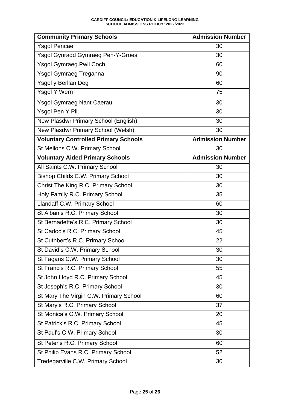#### **CARDIFF COUNCIL: EDUCATION & LIFELONG LEARNING SCHOOL ADMISSIONS POLICY: 2022/2023**

| <b>Community Primary Schools</b>            | <b>Admission Number</b> |
|---------------------------------------------|-------------------------|
| <b>Ysgol Pencae</b>                         | 30                      |
| <b>Ysgol Gynradd Gymraeg Pen-Y-Groes</b>    | 30                      |
| <b>Ysgol Gymraeg Pwll Coch</b>              | 60                      |
| Ysgol Gymraeg Treganna                      | 90                      |
| Ysgol y Berllan Deg                         | 60                      |
| Ysgol Y Wern                                | 75                      |
| <b>Ysgol Gymraeg Nant Caerau</b>            | 30                      |
| Ysgol Pen Y Pil.                            | 30                      |
| New Plasdwr Primary School (English)        | 30                      |
| New Plasdwr Primary School (Welsh)          | 30                      |
| <b>Voluntary Controlled Primary Schools</b> | <b>Admission Number</b> |
| St Mellons C.W. Primary School              | 30                      |
| <b>Voluntary Aided Primary Schools</b>      | <b>Admission Number</b> |
| All Saints C.W. Primary School              | 30                      |
| Bishop Childs C.W. Primary School           | 30                      |
| Christ The King R.C. Primary School         | 30                      |
| Holy Family R.C. Primary School             | 35                      |
| Llandaff C.W. Primary School                | 60                      |
| St Alban's R.C. Primary School              | 30                      |
| St Bernadette's R.C. Primary School         | 30                      |
| St Cadoc's R.C. Primary School              | 45                      |
| St Cuthbert's R.C. Primary School           | 22                      |
| St David's C.W. Primary School              | 30                      |
| St Fagans C.W. Primary School               | 30                      |
| St Francis R.C. Primary School              | 55                      |
| St John Lloyd R.C. Primary School           | 45                      |
| St Joseph's R.C. Primary School             | 30                      |
| St Mary The Virgin C.W. Primary School      | 60                      |
| St Mary's R.C. Primary School               | 37                      |
| St Monica's C.W. Primary School             | 20                      |
| St Patrick's R.C. Primary School            | 45                      |
| St Paul's C.W. Primary School               | 30                      |
| St Peter's R.C. Primary School              | 60                      |
| St Philip Evans R.C. Primary School         | 52                      |
| Tredegarville C.W. Primary School           | 30                      |